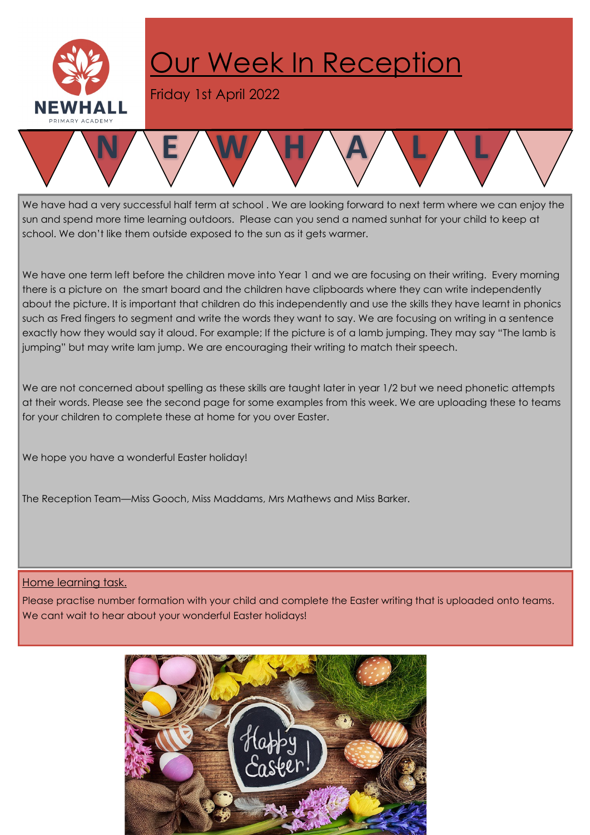

## Our Week In Reception

Friday 1st April 2022



We have had a very successful half term at school . We are looking forward to next term where we can enjoy the sun and spend more time learning outdoors. Please can you send a named sunhat for your child to keep at school. We don't like them outside exposed to the sun as it gets warmer.

We have one term left before the children move into Year 1 and we are focusing on their writing. Every morning there is a picture on the smart board and the children have clipboards where they can write independently about the picture. It is important that children do this independently and use the skills they have learnt in phonics such as Fred fingers to segment and write the words they want to say. We are focusing on writing in a sentence exactly how they would say it aloud. For example; If the picture is of a lamb jumping. They may say "The lamb is jumping" but may write lam jump. We are encouraging their writing to match their speech.

We are not concerned about spelling as these skills are taught later in year 1/2 but we need phonetic attempts at their words. Please see the second page for some examples from this week. We are uploading these to teams for your children to complete these at home for you over Easter.

We hope you have a wonderful Easter holiday!

The Reception Team—Miss Gooch, Miss Maddams, Mrs Mathews and Miss Barker.

## Home learning task.

Please practise number formation with your child and complete the Easter writing that is uploaded onto teams. We cant wait to hear about your wonderful Easter holidays!